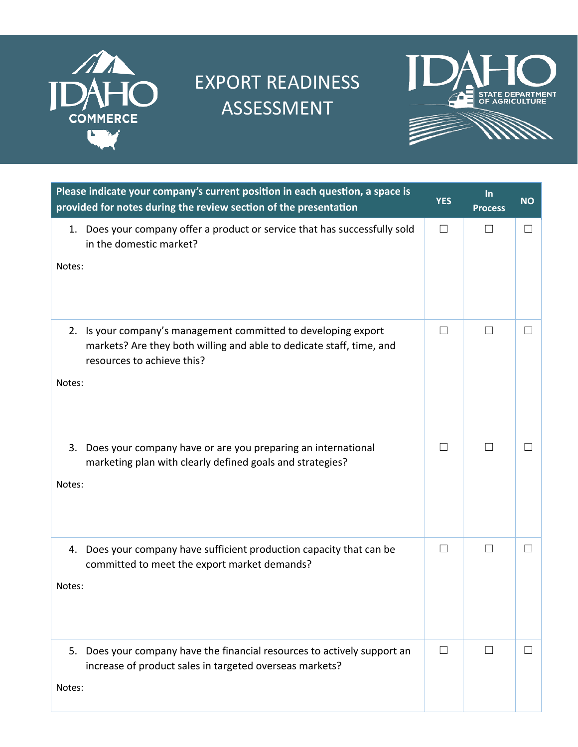

## EXPORT READINESS ASSESSMENT



| Please indicate your company's current position in each question, a space is<br>provided for notes during the review section of the presentation                               | <b>YES</b>   | $\ln$<br><b>Process</b> | <b>NO</b>    |
|--------------------------------------------------------------------------------------------------------------------------------------------------------------------------------|--------------|-------------------------|--------------|
| 1. Does your company offer a product or service that has successfully sold<br>in the domestic market?<br>Notes:                                                                | $\Box$       | $\perp$                 | $\mathsf{L}$ |
| 2. Is your company's management committed to developing export<br>markets? Are they both willing and able to dedicate staff, time, and<br>resources to achieve this?<br>Notes: | $\perp$      | $\Box$                  |              |
| Does your company have or are you preparing an international<br>3.<br>marketing plan with clearly defined goals and strategies?<br>Notes:                                      | $\mathbf{I}$ | $\perp$                 |              |
| 4. Does your company have sufficient production capacity that can be<br>committed to meet the export market demands?<br>Notes:                                                 | $\perp$      | $\mathbf{L}$            |              |
| Does your company have the financial resources to actively support an<br>5.<br>increase of product sales in targeted overseas markets?<br>Notes:                               | $\perp$      |                         |              |